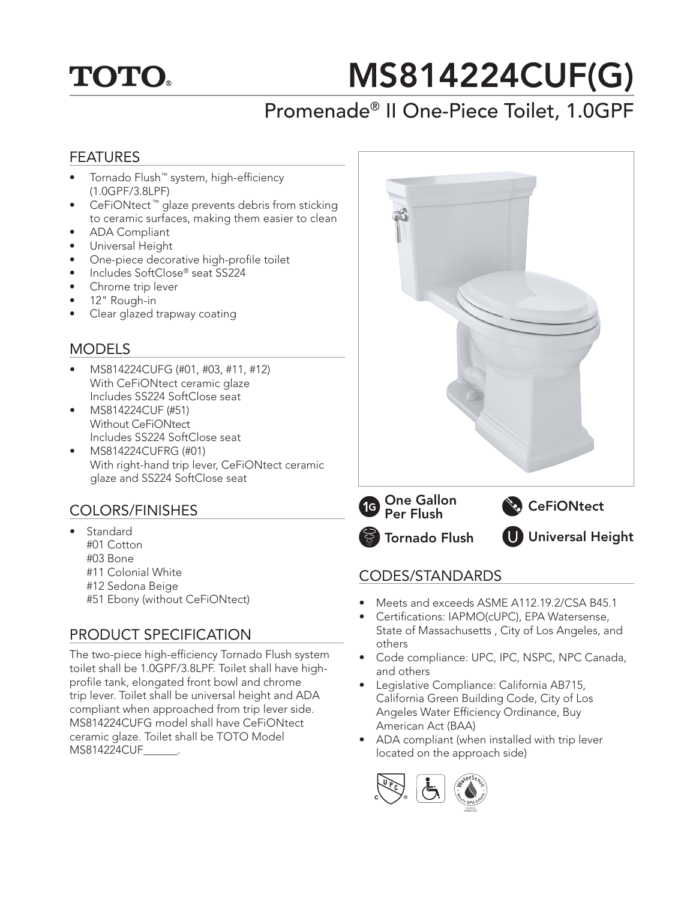

# MS814224CUF(G)

## Promenade® II One-Piece Toilet, 1.0GPF

### FEATURES

- Tornado Flush™ system, high-efficiency (1.0GPF/3.8LPF)
- CeFiONtect ™ glaze prevents debris from sticking to ceramic surfaces, making them easier to clean
- ADA Compliant
- Universal Height
- One-piece decorative high-profile toilet
- Includes SoftClose® seat SS224
- Chrome trip lever
- 12" Rough-in
- Clear glazed trapway coating

### MODELS

- MS814224CUFG (#01, #03, #11, #12) With CeFiONtect ceramic glaze Includes SS224 SoftClose seat
- MS814224CUF (#51) Without CeFiONtect Includes SS224 SoftClose seat
- MS814224CUFRG (#01) With right-hand trip lever, CeFiONtect ceramic glaze and SS224 SoftClose seat

### COLORS/FINISHES

- **Standard** #01 Cotton #03 Bone #11 Colonial White #12 Sedona Beige
	- #51 Ebony (without CeFiONtect)

### PRODUCT SPECIFICATION

The two-piece high-efficiency Tornado Flush system toilet shall be 1.0GPF/3.8LPF. Toilet shall have highprofile tank, elongated front bowl and chrome trip lever. Toilet shall be universal height and ADA compliant when approached from trip lever side. MS814224CUFG model shall have CeFiONtect ceramic glaze. Toilet shall be TOTO Model MS814224CUF .



Tornado Flush **One Gallon**<br>Per Flush Universal Height

### CODES/STANDARDS

- Meets and exceeds ASME A112.19.2/CSA B45.1
- Certifications: IAPMO(cUPC), EPA Watersense, State of Massachusetts , City of Los Angeles, and others
- Code compliance: UPC, IPC, NSPC, NPC Canada, and others
- Legislative Compliance: California AB715, California Green Building Code, City of Los Angeles Water Efficiency Ordinance, Buy American Act (BAA)
- ADA compliant (when installed with trip lever located on the approach side)